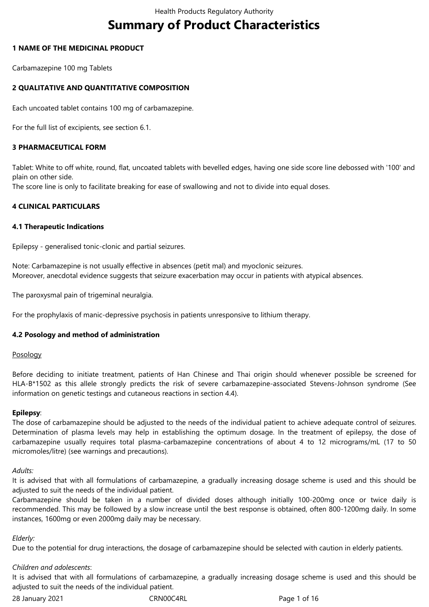# **Summary of Product Characteristics**

## **1 NAME OF THE MEDICINAL PRODUCT**

Carbamazepine 100 mg Tablets

## **2 QUALITATIVE AND QUANTITATIVE COMPOSITION**

Each uncoated tablet contains 100 mg of carbamazepine.

For the full list of excipients, see section 6.1.

## **3 PHARMACEUTICAL FORM**

Tablet: White to off white, round, flat, uncoated tablets with bevelled edges, having one side score line debossed with '100' and plain on other side.

The score line is only to facilitate breaking for ease of swallowing and not to divide into equal doses.

## **4 CLINICAL PARTICULARS**

### **4.1 Therapeutic Indications**

Epilepsy - generalised tonic-clonic and partial seizures.

Note: Carbamazepine is not usually effective in absences (petit mal) and myoclonic seizures. Moreover, anecdotal evidence suggests that seizure exacerbation may occur in patients with atypical absences.

The paroxysmal pain of trigeminal neuralgia.

For the prophylaxis of manic-depressive psychosis in patients unresponsive to lithium therapy.

## **4.2 Posology and method of administration**

### Posology

Before deciding to initiate treatment, patients of Han Chinese and Thai origin should whenever possible be screened for HLA-B\*1502 as this allele strongly predicts the risk of severe carbamazepine-associated Stevens-Johnson syndrome (See information on genetic testings and cutaneous reactions in section 4.4).

### **Epilepsy**:

The dose of carbamazepine should be adjusted to the needs of the individual patient to achieve adequate control of seizures. Determination of plasma levels may help in establishing the optimum dosage. In the treatment of epilepsy, the dose of carbamazepine usually requires total plasma-carbamazepine concentrations of about 4 to 12 micrograms/mL (17 to 50 micromoles/litre) (see warnings and precautions).

### *Adults:*

It is advised that with all formulations of carbamazepine, a gradually increasing dosage scheme is used and this should be adjusted to suit the needs of the individual patient.

Carbamazepine should be taken in a number of divided doses although initially 100-200mg once or twice daily is recommended. This may be followed by a slow increase until the best response is obtained, often 800-1200mg daily. In some instances, 1600mg or even 2000mg daily may be necessary.

### *Elderly:*

Due to the potential for drug interactions, the dosage of carbamazepine should be selected with caution in elderly patients.

### *Children and adolescents*:

It is advised that with all formulations of carbamazepine, a gradually increasing dosage scheme is used and this should be adjusted to suit the needs of the individual patient.

28 January 2021 **CRNOOC4RL** Page 1 of 16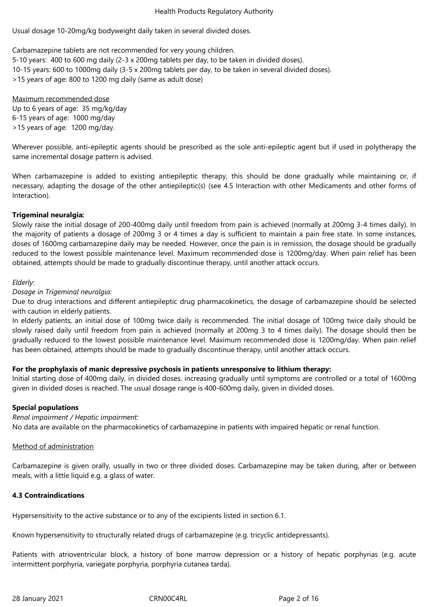Usual dosage 10-20mg/kg bodyweight daily taken in several divided doses.

Carbamazepine tablets are not recommended for very young children.

5-10 years: 400 to 600 mg daily (2-3 x 200mg tablets per day, to be taken in divided doses). 10-15 years: 600 to 1000mg daily (3-5 x 200mg tablets per day, to be taken in several divided doses). >15 years of age: 800 to 1200 mg daily (same as adult dose)

Maximum recommended dose Up to 6 years of age: 35 mg/kg/day 6-15 years of age: 1000 mg/day >15 years of age: 1200 mg/day.

Wherever possible, anti-epileptic agents should be prescribed as the sole anti-epileptic agent but if used in polytherapy the same incremental dosage pattern is advised.

When carbamazepine is added to existing antiepileptic therapy, this should be done gradually while maintaining or, if necessary, adapting the dosage of the other antiepileptic(s) (see 4.5 Interaction with other Medicaments and other forms of Interaction).

## **Trigeminal neuralgia:**

Slowly raise the initial dosage of 200-400mg daily until freedom from pain is achieved (normally at 200mg 3-4 times daily). In the majority of patients a dosage of 200mg 3 or 4 times a day is sufficient to maintain a pain free state. In some instances, doses of 1600mg carbamazepine daily may be needed. However, once the pain is in remission, the dosage should be gradually reduced to the lowest possible maintenance level. Maximum recommended dose is 1200mg/day. When pain relief has been obtained, attempts should be made to gradually discontinue therapy, until another attack occurs.

## *Elderly:*

## *Dosage in Trigeminal neuralgia:*

Due to drug interactions and different antiepileptic drug pharmacokinetics, the dosage of carbamazepine should be selected with caution in elderly patients.

In elderly patients, an initial dose of 100mg twice daily is recommended. The initial dosage of 100mg twice daily should be slowly raised daily until freedom from pain is achieved (normally at 200mg 3 to 4 times daily). The dosage should then be gradually reduced to the lowest possible maintenance level. Maximum recommended dose is 1200mg/day. When pain relief has been obtained, attempts should be made to gradually discontinue therapy, until another attack occurs.

## **For the prophylaxis of manic depressive psychosis in patients unresponsive to lithium therapy:**

Initial starting dose of 400mg daily, in divided doses, increasing gradually until symptoms are controlled or a total of 1600mg given in divided doses is reached. The usual dosage range is 400-600mg daily, given in divided doses.

### **Special populations**

*Renal impairment / Hepatic impairment:*

No data are available on the pharmacokinetics of carbamazepine in patients with impaired hepatic or renal function.

### Method of administration

Carbamazepine is given orally, usually in two or three divided doses. Carbamazepine may be taken during, after or between meals, with a little liquid e.g. a glass of water.

### **4.3 Contraindications**

Hypersensitivity to the active substance or to any of the excipients listed in section 6.1.

Known hypersensitivity to structurally related drugs of carbamazepine (e.g. tricyclic antidepressants).

Patients with atrioventricular block, a history of bone marrow depression or a history of hepatic porphyrias (e.g. acute intermittent porphyria, variegate porphyria, porphyria cutanea tarda).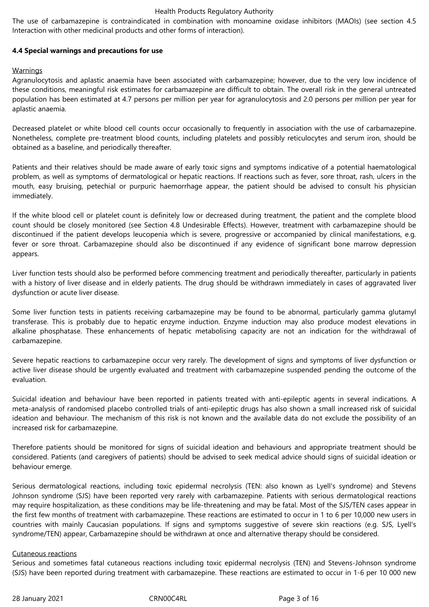The use of carbamazepine is contraindicated in combination with monoamine oxidase inhibitors (MAOIs) (see section 4.5 Interaction with other medicinal products and other forms of interaction).

## **4.4 Special warnings and precautions for use**

### Warnings

Agranulocytosis and aplastic anaemia have been associated with carbamazepine; however, due to the very low incidence of these conditions, meaningful risk estimates for carbamazepine are difficult to obtain. The overall risk in the general untreated population has been estimated at 4.7 persons per million per year for agranulocytosis and 2.0 persons per million per year for aplastic anaemia.

Decreased platelet or white blood cell counts occur occasionally to frequently in association with the use of carbamazepine. Nonetheless, complete pre-treatment blood counts, including platelets and possibly reticulocytes and serum iron, should be obtained as a baseline, and periodically thereafter.

Patients and their relatives should be made aware of early toxic signs and symptoms indicative of a potential haematological problem, as well as symptoms of dermatological or hepatic reactions. If reactions such as fever, sore throat, rash, ulcers in the mouth, easy bruising, petechial or purpuric haemorrhage appear, the patient should be advised to consult his physician immediately.

If the white blood cell or platelet count is definitely low or decreased during treatment, the patient and the complete blood count should be closely monitored (see Section 4.8 Undesirable Effects). However, treatment with carbamazepine should be discontinued if the patient develops leucopenia which is severe, progressive or accompanied by clinical manifestations, e.g. fever or sore throat. Carbamazepine should also be discontinued if any evidence of significant bone marrow depression appears.

Liver function tests should also be performed before commencing treatment and periodically thereafter, particularly in patients with a history of liver disease and in elderly patients. The drug should be withdrawn immediately in cases of aggravated liver dysfunction or acute liver disease.

Some liver function tests in patients receiving carbamazepine may be found to be abnormal, particularly gamma glutamyl transferase. This is probably due to hepatic enzyme induction. Enzyme induction may also produce modest elevations in alkaline phosphatase. These enhancements of hepatic metabolising capacity are not an indication for the withdrawal of carbamazepine.

Severe hepatic reactions to carbamazepine occur very rarely. The development of signs and symptoms of liver dysfunction or active liver disease should be urgently evaluated and treatment with carbamazepine suspended pending the outcome of the evaluation.

Suicidal ideation and behaviour have been reported in patients treated with anti-epileptic agents in several indications. A meta-analysis of randomised placebo controlled trials of anti-epileptic drugs has also shown a small increased risk of suicidal ideation and behaviour. The mechanism of this risk is not known and the available data do not exclude the possibility of an increased risk for carbamazepine.

Therefore patients should be monitored for signs of suicidal ideation and behaviours and appropriate treatment should be considered. Patients (and caregivers of patients) should be advised to seek medical advice should signs of suicidal ideation or behaviour emerge.

Serious dermatological reactions, including toxic epidermal necrolysis (TEN: also known as Lyell's syndrome) and Stevens Johnson syndrome (SJS) have been reported very rarely with carbamazepine. Patients with serious dermatological reactions may require hospitalization, as these conditions may be life-threatening and may be fatal. Most of the SJS/TEN cases appear in the first few months of treatment with carbamazepine. These reactions are estimated to occur in 1 to 6 per 10,000 new users in countries with mainly Caucasian populations. If signs and symptoms suggestive of severe skin reactions (e.g. SJS, Lyell's syndrome/TEN) appear, Carbamazepine should be withdrawn at once and alternative therapy should be considered.

### Cutaneous reactions

Serious and sometimes fatal cutaneous reactions including toxic epidermal necrolysis (TEN) and Stevens-Johnson syndrome (SJS) have been reported during treatment with carbamazepine. These reactions are estimated to occur in 1-6 per 10 000 new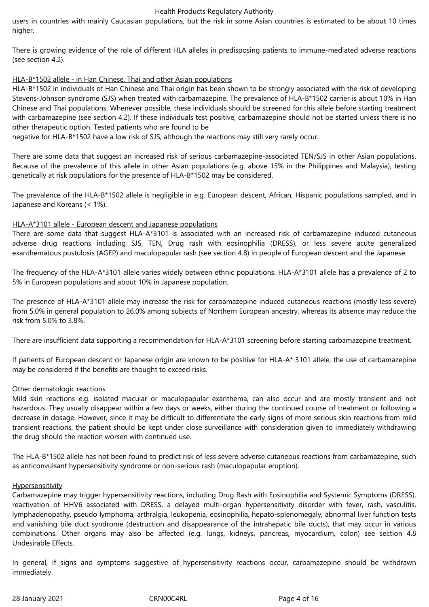users in countries with mainly Caucasian populations, but the risk in some Asian countries is estimated to be about 10 times higher.

There is growing evidence of the role of different HLA alleles in predisposing patients to immune-mediated adverse reactions (see section 4.2).

## HLA-B\*1502 allele - in Han Chinese, Thai and other Asian populations

HLA-B\*1502 in individuals of Han Chinese and Thai origin has been shown to be strongly associated with the risk of developing Stevens-Johnson syndrome (SJS) when treated with carbamazepine. The prevalence of HLA-B\*1502 carrier is about 10% in Han Chinese and Thai populations. Whenever possible, these individuals should be screened for this allele before starting treatment with carbamazepine (see section 4.2). If these individuals test positive, carbamazepine should not be started unless there is no other therapeutic option. Tested patients who are found to be

negative for HLA-B\*1502 have a low risk of SJS, although the reactions may still very rarely occur.

There are some data that suggest an increased risk of serious carbamazepine-associated TEN/SJS in other Asian populations. Because of the prevalence of this allele in other Asian populations (e.g. above 15% in the Philippines and Malaysia), testing genetically at risk populations for the presence of HLA-B\*1502 may be considered.

The prevalence of the HLA-B\*1502 allele is negligible in e.g. European descent, African, Hispanic populations sampled, and in Japanese and Koreans (< 1%).

### HLA-A\*3101 allele - European descent and Japanese populations

There are some data that suggest HLA-A\*3101 is associated with an increased risk of carbamazepine induced cutaneous adverse drug reactions including SJS, TEN, Drug rash with eosinophilia (DRESS), or less severe acute generalized exanthematous pustulosis (AGEP) and maculopapular rash (see section 4.8) in people of European descent and the Japanese.

The frequency of the HLA-A\*3101 allele varies widely between ethnic populations. HLA-A\*3101 allele has a prevalence of 2 to 5% in European populations and about 10% in Japanese population.

The presence of HLA-A\*3101 allele may increase the risk for carbamazepine induced cutaneous reactions (mostly less severe) from 5.0% in general population to 26.0% among subjects of Northern European ancestry, whereas its absence may reduce the risk from 5.0% to 3.8%.

There are insufficient data supporting a recommendation for HLA-A\*3101 screening before starting carbamazepine treatment.

If patients of European descent or Japanese origin are known to be positive for HLA-A\* 3101 allele, the use of carbamazepine may be considered if the benefits are thought to exceed risks.

### Other dermatologic reactions

Mild skin reactions e.g. isolated macular or maculopapular exanthema, can also occur and are mostly transient and not hazardous. They usually disappear within a few days or weeks, either during the continued course of treatment or following a decrease in dosage. However, since it may be difficult to differentiate the early signs of more serious skin reactions from mild transient reactions, the patient should be kept under close surveillance with consideration given to immediately withdrawing the drug should the reaction worsen with continued use.

The HLA-B\*1502 allele has not been found to predict risk of less severe adverse cutaneous reactions from carbamazepine, such as anticonvulsant hypersensitivity syndrome or non-serious rash (maculopapular eruption).

### **Hypersensitivity**

Carbamazepine may trigger hypersensitivity reactions, including Drug Rash with Eosinophilia and Systemic Symptoms (DRESS), reactivation of HHV6 associated with DRESS, a delayed multi-organ hypersensitivity disorder with fever, rash, vasculitis, lymphadenopathy, pseudo lymphoma, arthralgia, leukopenia, eosinophilia, hepato-splenomegaly, abnormal liver function tests and vanishing bile duct syndrome (destruction and disappearance of the intrahepatic bile ducts), that may occur in various combinations. Other organs may also be affected (e.g. lungs, kidneys, pancreas, myocardium, colon) see section 4.8 Undesirable Effects.

In general, if signs and symptoms suggestive of hypersensitivity reactions occur, carbamazepine should be withdrawn immediately.

28 January 2021 **CRNOOC4RL CRNOOC4RL** Page 4 of 16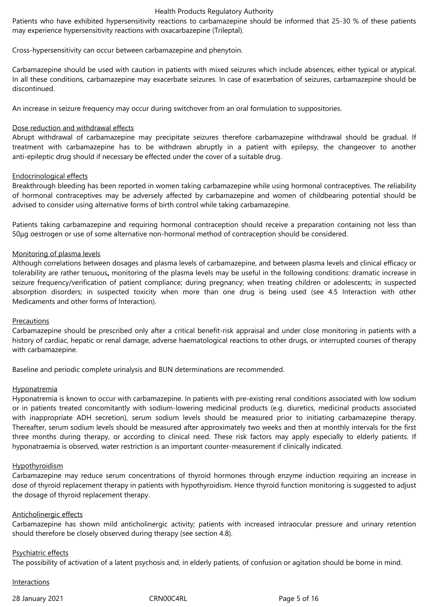Patients who have exhibited hypersensitivity reactions to carbamazepine should be informed that 25-30 % of these patients may experience hypersensitivity reactions with oxacarbazepine (Trileptal).

Cross-hypersensitivity can occur between carbamazepine and phenytoin.

Carbamazepine should be used with caution in patients with mixed seizures which include absences, either typical or atypical. In all these conditions, carbamazepine may exacerbate seizures. In case of exacerbation of seizures, carbamazepine should be discontinued.

An increase in seizure frequency may occur during switchover from an oral formulation to suppositories.

### Dose reduction and withdrawal effects

Abrupt withdrawal of carbamazepine may precipitate seizures therefore carbamazepine withdrawal should be gradual. If treatment with carbamazepine has to be withdrawn abruptly in a patient with epilepsy, the changeover to another anti-epileptic drug should if necessary be effected under the cover of a suitable drug.

## Endocrinological effects

Breakthrough bleeding has been reported in women taking carbamazepine while using hormonal contraceptives. The reliability of hormonal contraceptives may be adversely affected by carbamazepine and women of childbearing potential should be advised to consider using alternative forms of birth control while taking carbamazepine.

Patients taking carbamazepine and requiring hormonal contraception should receive a preparation containing not less than 50μg oestrogen or use of some alternative non-hormonal method of contraception should be considered.

## Monitoring of plasma levels

Although correlations between dosages and plasma levels of carbamazepine, and between plasma levels and clinical efficacy or tolerability are rather tenuous**,** monitoring of the plasma levels may be useful in the following conditions: dramatic increase in seizure frequency/verification of patient compliance; during pregnancy; when treating children or adolescents; in suspected absorption disorders; in suspected toxicity when more than one drug is being used (see 4.5 Interaction with other Medicaments and other forms of Interaction).

### Precautions

Carbamazepine should be prescribed only after a critical benefit-risk appraisal and under close monitoring in patients with a history of cardiac, hepatic or renal damage, adverse haematological reactions to other drugs, or interrupted courses of therapy with carbamazepine.

Baseline and periodic complete urinalysis and BUN determinations are recommended.

### **Hyponatremia**

Hyponatremia is known to occur with carbamazepine. In patients with pre-existing renal conditions associated with low sodium or in patients treated concomitantly with sodium-lowering medicinal products (e.g. diuretics, medicinal products associated with inappropriate ADH secretion), serum sodium levels should be measured prior to initiating carbamazepine therapy. Thereafter, serum sodium levels should be measured after approximately two weeks and then at monthly intervals for the first three months during therapy, or according to clinical need. These risk factors may apply especially to elderly patients. If hyponatraemia is observed, water restriction is an important counter-measurement if clinically indicated.

### **Hypothyroidism**

Carbamazepine may reduce serum concentrations of thyroid hormones through enzyme induction requiring an increase in dose of thyroid replacement therapy in patients with hypothyroidism. Hence thyroid function monitoring is suggested to adjust the dosage of thyroid replacement therapy.

### Anticholinergic effects

Carbamazepine has shown mild anticholinergic activity; patients with increased intraocular pressure and urinary retention should therefore be closely observed during therapy (see section 4.8).

### Psychiatric effects

The possibility of activation of a latent psychosis and, in elderly patients, of confusion or agitation should be borne in mind.

### Interactions

28 January 2021 **CRNOOC4RL** Page 5 of 16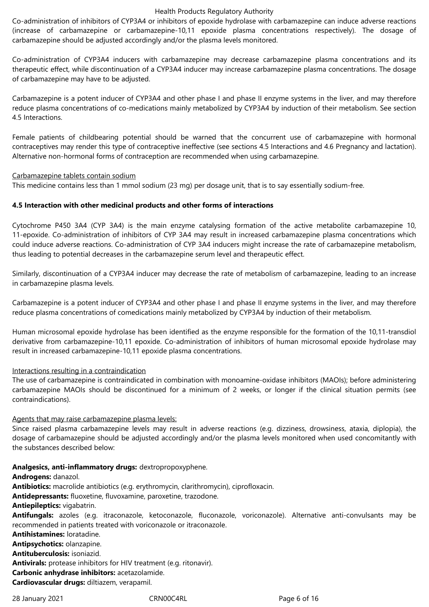Co-administration of inhibitors of CYP3A4 or inhibitors of epoxide hydrolase with carbamazepine can induce adverse reactions (increase of carbamazepine or carbamazepine-10,11 epoxide plasma concentrations respectively). The dosage of carbamazepine should be adjusted accordingly and/or the plasma levels monitored.

Co-administration of CYP3A4 inducers with carbamazepine may decrease carbamazepine plasma concentrations and its therapeutic effect, while discontinuation of a CYP3A4 inducer may increase carbamazepine plasma concentrations. The dosage of carbamazepine may have to be adjusted.

Carbamazepine is a potent inducer of CYP3A4 and other phase I and phase II enzyme systems in the liver, and may therefore reduce plasma concentrations of co-medications mainly metabolized by CYP3A4 by induction of their metabolism. See section 4.5 Interactions.

Female patients of childbearing potential should be warned that the concurrent use of carbamazepine with hormonal contraceptives may render this type of contraceptive ineffective (see sections 4.5 Interactions and 4.6 Pregnancy and lactation). Alternative non-hormonal forms of contraception are recommended when using carbamazepine.

Carbamazepine tablets contain sodium

This medicine contains less than 1 mmol sodium (23 mg) per dosage unit, that is to say essentially sodium-free.

## **4.5 Interaction with other medicinal products and other forms of interactions**

Cytochrome P450 3A4 (CYP 3A4) is the main enzyme catalysing formation of the active metabolite carbamazepine 10, 11-epoxide. Co-administration of inhibitors of CYP 3A4 may result in increased carbamazepine plasma concentrations which could induce adverse reactions. Co-administration of CYP 3A4 inducers might increase the rate of carbamazepine metabolism, thus leading to potential decreases in the carbamazepine serum level and therapeutic effect.

Similarly, discontinuation of a CYP3A4 inducer may decrease the rate of metabolism of carbamazepine, leading to an increase in carbamazepine plasma levels.

Carbamazepine is a potent inducer of CYP3A4 and other phase I and phase II enzyme systems in the liver, and may therefore reduce plasma concentrations of comedications mainly metabolized by CYP3A4 by induction of their metabolism.

Human microsomal epoxide hydrolase has been identified as the enzyme responsible for the formation of the 10,11-transdiol derivative from carbamazepine-10,11 epoxide. Co-administration of inhibitors of human microsomal epoxide hydrolase may result in increased carbamazepine-10,11 epoxide plasma concentrations.

## Interactions resulting in a contraindication

The use of carbamazepine is contraindicated in combination with monoamine-oxidase inhibitors (MAOIs); before administering carbamazepine MAOIs should be discontinued for a minimum of 2 weeks, or longer if the clinical situation permits (see contraindications).

## Agents that may raise carbamazepine plasma levels:

Since raised plasma carbamazepine levels may result in adverse reactions (e.g. dizziness, drowsiness, ataxia, diplopia), the dosage of carbamazepine should be adjusted accordingly and/or the plasma levels monitored when used concomitantly with the substances described below:

## **Analgesics, anti-inflammatory drugs:** dextropropoxyphene.

**Androgens:** danazol.

**Antibiotics:** macrolide antibiotics (e.g. erythromycin, clarithromycin), ciprofloxacin.

**Antidepressants:** fluoxetine, fluvoxamine, paroxetine, trazodone.

**Antiepileptics:** vigabatrin.

**Antifungals:** azoles (e.g. itraconazole, ketoconazole, fluconazole, voriconazole). Alternative anti-convulsants may be recommended in patients treated with voriconazole or itraconazole.

**Antihistamines:** loratadine.

**Antipsychotics:** olanzapine.

**Antituberculosis:** isoniazid.

**Antivirals:** protease inhibitors for HIV treatment (e.g. ritonavir).

**Carbonic anhydrase inhibitors:** acetazolamide.

**Cardiovascular drugs:** diltiazem, verapamil.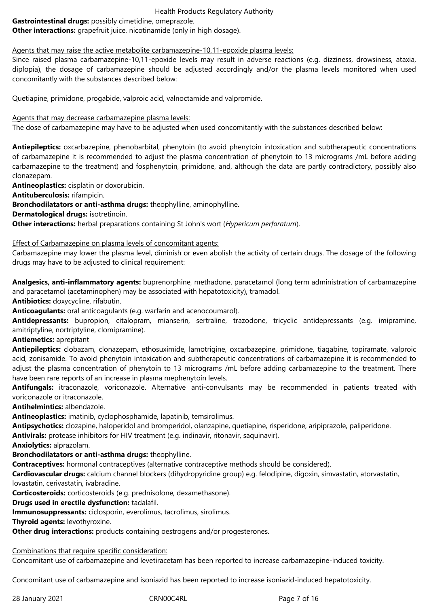# **Gastrointestinal drugs:** possibly cimetidine, omeprazole.

**Other interactions:** grapefruit juice, nicotinamide (only in high dosage).

Agents that may raise the active metabolite carbamazepine-10,11-epoxide plasma levels:

Since raised plasma carbamazepine-10,11-epoxide levels may result in adverse reactions (e.g. dizziness, drowsiness, ataxia, diplopia), the dosage of carbamazepine should be adjusted accordingly and/or the plasma levels monitored when used concomitantly with the substances described below:

Quetiapine, primidone, progabide, valproic acid, valnoctamide and valpromide.

Agents that may decrease carbamazepine plasma levels:

The dose of carbamazepine may have to be adjusted when used concomitantly with the substances described below:

**Antiepileptics:** oxcarbazepine, phenobarbital, phenytoin (to avoid phenytoin intoxication and subtherapeutic concentrations of carbamazepine it is recommended to adjust the plasma concentration of phenytoin to 13 micrograms /mL before adding carbamazepine to the treatment) and fosphenytoin, primidone, and, although the data are partly contradictory, possibly also clonazepam.

**Antineoplastics:** cisplatin or doxorubicin.

**Antituberculosis:** rifampicin.

**Bronchodilatators or anti-asthma drugs:** theophylline, aminophylline.

**Dermatological drugs:** isotretinoin.

**Other interactions:** herbal preparations containing St John's wort (*Hypericum perforatum*).

## Effect of Carbamazepine on plasma levels of concomitant agents:

Carbamazepine may lower the plasma level, diminish or even abolish the activity of certain drugs. The dosage of the following drugs may have to be adjusted to clinical requirement:

**Analgesics, anti-inflammatory agents:** buprenorphine, methadone, paracetamol (long term administration of carbamazepine and paracetamol (acetaminophen) may be associated with hepatotoxicity), tramadol.

**Antibiotics:** doxycycline, rifabutin.

**Anticoagulants:** oral anticoagulants (e.g. warfarin and acenocoumarol).

**Antidepressants:** bupropion, citalopram, mianserin, sertraline, trazodone, tricyclic antidepressants (e.g. imipramine, amitriptyline, nortriptyline, clomipramine).

## **Antiemetics:** aprepitant

**Antiepileptics:** clobazam, clonazepam, ethosuximide, lamotrigine, oxcarbazepine, primidone, tiagabine, topiramate, valproic acid, zonisamide. To avoid phenytoin intoxication and subtherapeutic concentrations of carbamazepine it is recommended to adjust the plasma concentration of phenytoin to 13 micrograms /mL before adding carbamazepine to the treatment. There have been rare reports of an increase in plasma mephenytoin levels.

**Antifungals:** itraconazole, voriconazole. Alternative anti-convulsants may be recommended in patients treated with voriconazole or itraconazole.

**Antihelmintics:** albendazole.

**Antineoplastics:** imatinib, cyclophosphamide, lapatinib, temsirolimus.

**Antipsychotics:** clozapine, haloperidol and bromperidol, olanzapine, quetiapine, risperidone, aripiprazole, paliperidone.

**Antivirals:** protease inhibitors for HIV treatment (e.g. indinavir, ritonavir, saquinavir).

**Anxiolytics:** alprazolam.

# **Bronchodilatators or anti-asthma drugs:** theophylline.

**Contraceptives:** hormonal contraceptives (alternative contraceptive methods should be considered).

**Cardiovascular drugs:** calcium channel blockers (dihydropyridine group) e.g. felodipine, digoxin, simvastatin, atorvastatin, lovastatin, cerivastatin, ivabradine.

**Corticosteroids:** corticosteroids (e.g. prednisolone, dexamethasone).

**Drugs used in erectile dysfunction:** tadalafil.

**Immunosuppressants:** ciclosporin, everolimus, tacrolimus, sirolimus.

**Thyroid agents:** levothyroxine.

**Other drug interactions:** products containing oestrogens and/or progesterones.

## Combinations that require specific consideration:

Concomitant use of carbamazepine and levetiracetam has been reported to increase carbamazepine-induced toxicity.

Concomitant use of carbamazepine and isoniazid has been reported to increase isoniazid-induced hepatotoxicity.

28 January 2021 CRN00C4RL Page 7 of 16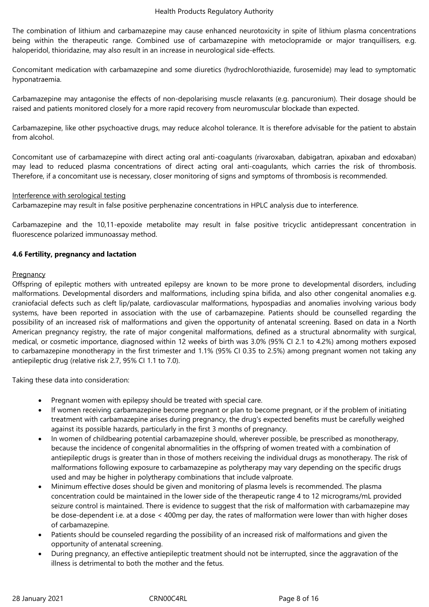The combination of lithium and carbamazepine may cause enhanced neurotoxicity in spite of lithium plasma concentrations being within the therapeutic range. Combined use of carbamazepine with metoclopramide or major tranquillisers, e.g. haloperidol, thioridazine, may also result in an increase in neurological side-effects.

Concomitant medication with carbamazepine and some diuretics (hydrochlorothiazide, furosemide) may lead to symptomatic hyponatraemia.

Carbamazepine may antagonise the effects of non-depolarising muscle relaxants (e.g. pancuronium). Their dosage should be raised and patients monitored closely for a more rapid recovery from neuromuscular blockade than expected.

Carbamazepine, like other psychoactive drugs, may reduce alcohol tolerance. It is therefore advisable for the patient to abstain from alcohol.

Concomitant use of carbamazepine with direct acting oral anti-coagulants (rivaroxaban, dabigatran, apixaban and edoxaban) may lead to reduced plasma concentrations of direct acting oral anti-coagulants, which carries the risk of thrombosis. Therefore, if a concomitant use is necessary, closer monitoring of signs and symptoms of thrombosis is recommended.

### Interference with serological testing

Carbamazepine may result in false positive perphenazine concentrations in HPLC analysis due to interference.

Carbamazepine and the 10,11-epoxide metabolite may result in false positive tricyclic antidepressant concentration in fluorescence polarized immunoassay method.

### **4.6 Fertility, pregnancy and lactation**

### **Pregnancy**

Offspring of epileptic mothers with untreated epilepsy are known to be more prone to developmental disorders, including malformations. Developmental disorders and malformations, including spina bifida, and also other congenital anomalies e.g. craniofacial defects such as cleft lip/palate, cardiovascular malformations, hypospadias and anomalies involving various body systems, have been reported in association with the use of carbamazepine. Patients should be counselled regarding the possibility of an increased risk of malformations and given the opportunity of antenatal screening. Based on data in a North American pregnancy registry, the rate of major congenital malformations, defined as a structural abnormality with surgical, medical, or cosmetic importance, diagnosed within 12 weeks of birth was 3.0% (95% CI 2.1 to 4.2%) among mothers exposed to carbamazepine monotherapy in the first trimester and 1.1% (95% CI 0.35 to 2.5%) among pregnant women not taking any antiepileptic drug (relative risk 2.7, 95% CI 1.1 to 7.0).

Taking these data into consideration:

- Pregnant women with epilepsy should be treated with special care.
- If women receiving carbamazepine become pregnant or plan to become pregnant, or if the problem of initiating treatment with carbamazepine arises during pregnancy, the drug's expected benefits must be carefully weighed against its possible hazards, particularly in the first 3 months of pregnancy.
- In women of childbearing potential carbamazepine should, wherever possible, be prescribed as monotherapy, because the incidence of congenital abnormalities in the offspring of women treated with a combination of antiepileptic drugs is greater than in those of mothers receiving the individual drugs as monotherapy. The risk of malformations following exposure to carbamazepine as polytherapy may vary depending on the specific drugs used and may be higher in polytherapy combinations that include valproate.
- Minimum effective doses should be given and monitoring of plasma levels is recommended. The plasma concentration could be maintained in the lower side of the therapeutic range 4 to 12 micrograms/mL provided seizure control is maintained. There is evidence to suggest that the risk of malformation with carbamazepine may be dose-dependent i.e. at a dose < 400mg per day, the rates of malformation were lower than with higher doses of carbamazepine.
- Patients should be counseled regarding the possibility of an increased risk of malformations and given the opportunity of antenatal screening.
- During pregnancy, an effective antiepileptic treatment should not be interrupted, since the aggravation of the illness is detrimental to both the mother and the fetus.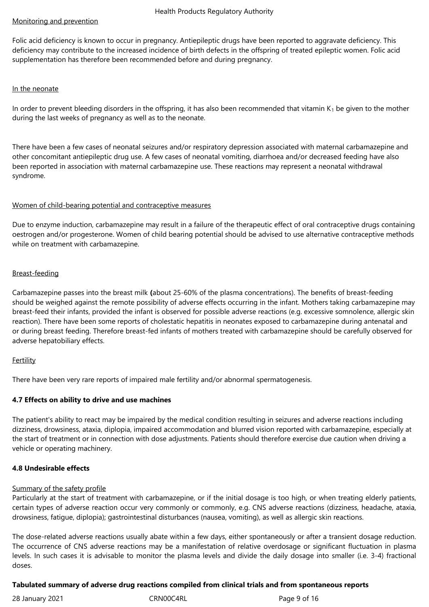# Monitoring and prevention

Folic acid deficiency is known to occur in pregnancy. Antiepileptic drugs have been reported to aggravate deficiency. This deficiency may contribute to the increased incidence of birth defects in the offspring of treated epileptic women. Folic acid supplementation has therefore been recommended before and during pregnancy.

### In the neonate

In order to prevent bleeding disorders in the offspring, it has also been recommended that vitamin  $K_1$  be given to the mother during the last weeks of pregnancy as well as to the neonate.

There have been a few cases of neonatal seizures and/or respiratory depression associated with maternal carbamazepine and other concomitant antiepileptic drug use. A few cases of neonatal vomiting, diarrhoea and/or decreased feeding have also been reported in association with maternal carbamazepine use. These reactions may represent a neonatal withdrawal syndrome.

## Women of child-bearing potential and contraceptive measures

Due to enzyme induction, carbamazepine may result in a failure of the therapeutic effect of oral contraceptive drugs containing oestrogen and/or progesterone. Women of child bearing potential should be advised to use alternative contraceptive methods while on treatment with carbamazepine.

## Breast-feeding

Carbamazepine passes into the breast milk **(**about 25-60% of the plasma concentrations). The benefits of breast-feeding should be weighed against the remote possibility of adverse effects occurring in the infant. Mothers taking carbamazepine may breast-feed their infants, provided the infant is observed for possible adverse reactions (e.g. excessive somnolence, allergic skin reaction). There have been some reports of cholestatic hepatitis in neonates exposed to carbamazepine during antenatal and or during breast feeding. Therefore breast-fed infants of mothers treated with carbamazepine should be carefully observed for adverse hepatobiliary effects.

### **Fertility**

There have been very rare reports of impaired male fertility and/or abnormal spermatogenesis.

## **4.7 Effects on ability to drive and use machines**

The patient's ability to react may be impaired by the medical condition resulting in seizures and adverse reactions including dizziness, drowsiness, ataxia, diplopia, impaired accommodation and blurred vision reported with carbamazepine, especially at the start of treatment or in connection with dose adjustments. Patients should therefore exercise due caution when driving a vehicle or operating machinery.

### **4.8 Undesirable effects**

### Summary of the safety profile

Particularly at the start of treatment with carbamazepine, or if the initial dosage is too high, or when treating elderly patients, certain types of adverse reaction occur very commonly or commonly, e.g. CNS adverse reactions (dizziness, headache, ataxia, drowsiness, fatigue, diplopia); gastrointestinal disturbances (nausea, vomiting), as well as allergic skin reactions.

The dose-related adverse reactions usually abate within a few days, either spontaneously or after a transient dosage reduction. The occurrence of CNS adverse reactions may be a manifestation of relative overdosage or significant fluctuation in plasma levels. In such cases it is advisable to monitor the plasma levels and divide the daily dosage into smaller (i.e. 3-4) fractional doses.

## **Tabulated summary of adverse drug reactions compiled from clinical trials and from spontaneous reports**

28 January 2021 **CRNOOC4RL** Page 9 of 16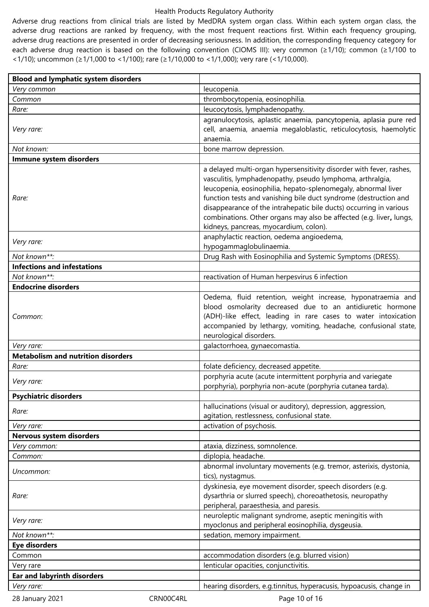Adverse drug reactions from clinical trials are listed by MedDRA system organ class. Within each system organ class, the adverse drug reactions are ranked by frequency, with the most frequent reactions first. Within each frequency grouping, adverse drug reactions are presented in order of decreasing seriousness. In addition, the corresponding frequency category for each adverse drug reaction is based on the following convention (CIOMS III): very common (≥1/10); common (≥1/100 to <1/10); uncommon (≥1/1,000 to <1/100); rare (≥1/10,000 to <1/1,000); very rare (<1/10,000).

| <b>Blood and lymphatic system disorders</b> |                                                                                                                                                                                                                                                                                                                                                                                                                                                              |
|---------------------------------------------|--------------------------------------------------------------------------------------------------------------------------------------------------------------------------------------------------------------------------------------------------------------------------------------------------------------------------------------------------------------------------------------------------------------------------------------------------------------|
| Very common                                 | leucopenia.                                                                                                                                                                                                                                                                                                                                                                                                                                                  |
| Common                                      | thrombocytopenia, eosinophilia.                                                                                                                                                                                                                                                                                                                                                                                                                              |
| Rare:                                       | leucocytosis, lymphadenopathy.                                                                                                                                                                                                                                                                                                                                                                                                                               |
| Very rare:                                  | agranulocytosis, aplastic anaemia, pancytopenia, aplasia pure red<br>cell, anaemia, anaemia megaloblastic, reticulocytosis, haemolytic<br>anaemia.                                                                                                                                                                                                                                                                                                           |
| Not known:                                  | bone marrow depression.                                                                                                                                                                                                                                                                                                                                                                                                                                      |
| Immune system disorders                     |                                                                                                                                                                                                                                                                                                                                                                                                                                                              |
| Rare:                                       | a delayed multi-organ hypersensitivity disorder with fever, rashes,<br>vasculitis, lymphadenopathy, pseudo lymphoma, arthralgia,<br>leucopenia, eosinophilia, hepato-splenomegaly, abnormal liver<br>function tests and vanishing bile duct syndrome (destruction and<br>disappearance of the intrahepatic bile ducts) occurring in various<br>combinations. Other organs may also be affected (e.g. liver, lungs,<br>kidneys, pancreas, myocardium, colon). |
| Very rare:                                  | anaphylactic reaction, oedema angioedema,<br>hypogammaglobulinaemia.                                                                                                                                                                                                                                                                                                                                                                                         |
| Not known**:                                | Drug Rash with Eosinophilia and Systemic Symptoms (DRESS).                                                                                                                                                                                                                                                                                                                                                                                                   |
| <b>Infections and infestations</b>          |                                                                                                                                                                                                                                                                                                                                                                                                                                                              |
| Not known**:                                | reactivation of Human herpesvirus 6 infection                                                                                                                                                                                                                                                                                                                                                                                                                |
| <b>Endocrine disorders</b>                  |                                                                                                                                                                                                                                                                                                                                                                                                                                                              |
| Common:                                     | Oedema, fluid retention, weight increase, hyponatraemia and<br>blood osmolarity decreased due to an antidiuretic hormone<br>(ADH)-like effect, leading in rare cases to water intoxication<br>accompanied by lethargy, vomiting, headache, confusional state,<br>neurological disorders.                                                                                                                                                                     |
| Very rare:                                  | galactorrhoea, gynaecomastia.                                                                                                                                                                                                                                                                                                                                                                                                                                |
| <b>Metabolism and nutrition disorders</b>   |                                                                                                                                                                                                                                                                                                                                                                                                                                                              |
| Rare:                                       | folate deficiency, decreased appetite.                                                                                                                                                                                                                                                                                                                                                                                                                       |
| Very rare:                                  | porphyria acute (acute intermittent porphyria and variegate<br>porphyria), porphyria non-acute (porphyria cutanea tarda).                                                                                                                                                                                                                                                                                                                                    |
| <b>Psychiatric disorders</b>                |                                                                                                                                                                                                                                                                                                                                                                                                                                                              |
| Rare:                                       | hallucinations (visual or auditory), depression, aggression,<br>agitation, restlessness, confusional state.                                                                                                                                                                                                                                                                                                                                                  |
| Very rare:                                  | activation of psychosis.                                                                                                                                                                                                                                                                                                                                                                                                                                     |
| Nervous system disorders                    |                                                                                                                                                                                                                                                                                                                                                                                                                                                              |
| Very common:                                | ataxia, dizziness, somnolence.                                                                                                                                                                                                                                                                                                                                                                                                                               |
| Common:                                     | diplopia, headache.                                                                                                                                                                                                                                                                                                                                                                                                                                          |
| Uncommon:                                   | abnormal involuntary movements (e.g. tremor, asterixis, dystonia,<br>tics), nystagmus.                                                                                                                                                                                                                                                                                                                                                                       |
| Rare:                                       | dyskinesia, eye movement disorder, speech disorders (e.g.<br>dysarthria or slurred speech), choreoathetosis, neuropathy<br>peripheral, paraesthesia, and paresis.                                                                                                                                                                                                                                                                                            |
| Very rare:                                  | neuroleptic malignant syndrome, aseptic meningitis with<br>myoclonus and peripheral eosinophilia, dysgeusia.                                                                                                                                                                                                                                                                                                                                                 |
| Not known**:                                | sedation, memory impairment.                                                                                                                                                                                                                                                                                                                                                                                                                                 |
| <b>Eye disorders</b>                        |                                                                                                                                                                                                                                                                                                                                                                                                                                                              |
| Common                                      | accommodation disorders (e.g. blurred vision)                                                                                                                                                                                                                                                                                                                                                                                                                |
| Very rare                                   | lenticular opacities, conjunctivitis.                                                                                                                                                                                                                                                                                                                                                                                                                        |
| <b>Ear and labyrinth disorders</b>          |                                                                                                                                                                                                                                                                                                                                                                                                                                                              |
| Very rare:                                  | hearing disorders, e.g.tinnitus, hyperacusis, hypoacusis, change in                                                                                                                                                                                                                                                                                                                                                                                          |
| CRN00C4RL<br>28 January 2021                | Page 10 of 16                                                                                                                                                                                                                                                                                                                                                                                                                                                |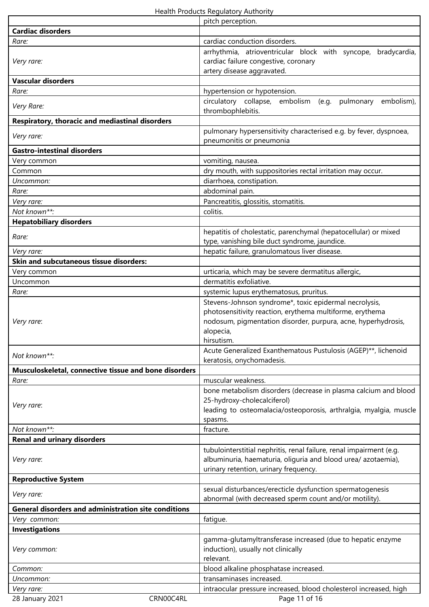|                                                             | pitch perception.                                                                                                         |
|-------------------------------------------------------------|---------------------------------------------------------------------------------------------------------------------------|
| <b>Cardiac disorders</b>                                    |                                                                                                                           |
| Rare:                                                       | cardiac conduction disorders.                                                                                             |
|                                                             | arrhythmia, atrioventricular block with syncope, bradycardia,                                                             |
| Very rare:                                                  | cardiac failure congestive, coronary                                                                                      |
|                                                             | artery disease aggravated.                                                                                                |
| <b>Vascular disorders</b>                                   |                                                                                                                           |
| Rare:                                                       | hypertension or hypotension.                                                                                              |
| Very Rare:                                                  | circulatory collapse, embolism<br>embolism),<br>(e.g.<br>pulmonary<br>thrombophlebitis.                                   |
| Respiratory, thoracic and mediastinal disorders             |                                                                                                                           |
|                                                             | pulmonary hypersensitivity characterised e.g. by fever, dyspnoea,                                                         |
| Very rare:                                                  | pneumonitis or pneumonia                                                                                                  |
| <b>Gastro-intestinal disorders</b>                          |                                                                                                                           |
| Very common                                                 | vomiting, nausea.                                                                                                         |
| Common                                                      | dry mouth, with suppositories rectal irritation may occur.                                                                |
| Uncommon:                                                   | diarrhoea, constipation.                                                                                                  |
| Rare:                                                       | abdominal pain.                                                                                                           |
| Very rare:                                                  | Pancreatitis, glossitis, stomatitis.                                                                                      |
| Not known**:                                                | colitis.                                                                                                                  |
| <b>Hepatobiliary disorders</b>                              |                                                                                                                           |
| Rare:                                                       | hepatitis of cholestatic, parenchymal (hepatocellular) or mixed                                                           |
|                                                             | type, vanishing bile duct syndrome, jaundice.                                                                             |
| Very rare:                                                  | hepatic failure, granulomatous liver disease.                                                                             |
| Skin and subcutaneous tissue disorders:                     |                                                                                                                           |
| Very common                                                 | urticaria, which may be severe dermatitus allergic,                                                                       |
| Uncommon                                                    | dermatitis exfoliative.                                                                                                   |
| Rare:                                                       | systemic lupus erythematosus, pruritus.                                                                                   |
|                                                             | Stevens-Johnson syndrome*, toxic epidermal necrolysis,                                                                    |
|                                                             | photosensitivity reaction, erythema multiforme, erythema<br>nodosum, pigmentation disorder, purpura, acne, hyperhydrosis, |
| Very rare:                                                  | alopecia,                                                                                                                 |
|                                                             | hirsutism.                                                                                                                |
|                                                             | Acute Generalized Exanthematous Pustulosis (AGEP)**, lichenoid                                                            |
| Not known**:                                                | keratosis, onychomadesis.                                                                                                 |
| Musculoskeletal, connective tissue and bone disorders       |                                                                                                                           |
| Rare:                                                       | muscular weakness.                                                                                                        |
|                                                             | bone metabolism disorders (decrease in plasma calcium and blood                                                           |
|                                                             | 25-hydroxy-cholecalciferol)                                                                                               |
| Very rare:                                                  | leading to osteomalacia/osteoporosis, arthralgia, myalgia, muscle                                                         |
|                                                             | spasms.                                                                                                                   |
| Not known**:                                                | fracture.                                                                                                                 |
| <b>Renal and urinary disorders</b>                          |                                                                                                                           |
|                                                             | tubulointerstitial nephritis, renal failure, renal impairment (e.g.                                                       |
| Very rare:                                                  | albuminuria, haematuria, oliguria and blood urea/azotaemia),<br>urinary retention, urinary frequency.                     |
| <b>Reproductive System</b>                                  |                                                                                                                           |
|                                                             | sexual disturbances/erecticle dysfunction spermatogenesis                                                                 |
| Very rare:                                                  | abnormal (with decreased sperm count and/or motility).                                                                    |
| <b>General disorders and administration site conditions</b> |                                                                                                                           |
| Very common:                                                | fatigue.                                                                                                                  |
| <b>Investigations</b>                                       |                                                                                                                           |
|                                                             | gamma-glutamyltransferase increased (due to hepatic enzyme                                                                |
| Very common:                                                | induction), usually not clinically                                                                                        |
|                                                             | relevant.                                                                                                                 |
| Common:                                                     | blood alkaline phosphatase increased.                                                                                     |
| Uncommon:                                                   | transaminases increased.                                                                                                  |
| Very rare:                                                  | intraocular pressure increased, blood cholesterol increased, high                                                         |
| CRN00C4RL<br>28 January 2021                                | Page 11 of 16                                                                                                             |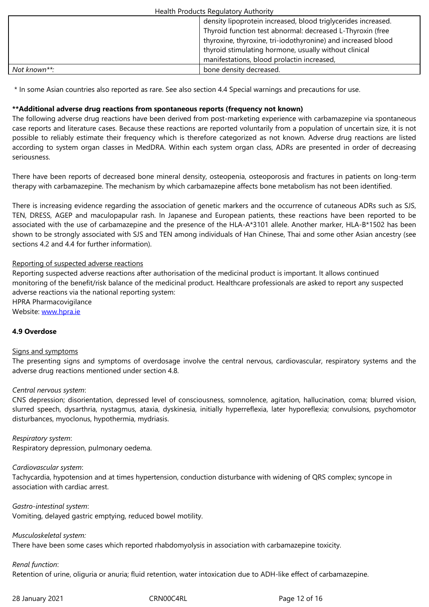|              | thyroxine, thyroxine, tri-iodothyronine) and increased blood |
|--------------|--------------------------------------------------------------|
|              | thyroid stimulating hormone, usually without clinical        |
|              | manifestations, blood prolactin increased,                   |
| Not known**: | bone density decreased.                                      |

\* In some Asian countries also reported as rare. See also section 4.4 Special warnings and precautions for use.

### **\*\*Additional adverse drug reactions from spontaneous reports (frequency not known)**

The following adverse drug reactions have been derived from post-marketing experience with carbamazepine via spontaneous case reports and literature cases. Because these reactions are reported voluntarily from a population of uncertain size, it is not possible to reliably estimate their frequency which is therefore categorized as not known. Adverse drug reactions are listed according to system organ classes in MedDRA. Within each system organ class, ADRs are presented in order of decreasing seriousness.

There have been reports of decreased bone mineral density, osteopenia, osteoporosis and fractures in patients on long-term therapy with carbamazepine. The mechanism by which carbamazepine affects bone metabolism has not been identified.

There is increasing evidence regarding the association of genetic markers and the occurrence of cutaneous ADRs such as SJS, TEN, DRESS, AGEP and maculopapular rash. In Japanese and European patients, these reactions have been reported to be associated with the use of carbamazepine and the presence of the HLA-A\*3101 allele. Another marker, HLA-B\*1502 has been shown to be strongly associated with SJS and TEN among individuals of Han Chinese, Thai and some other Asian ancestry (see sections 4.2 and 4.4 for further information).

## Reporting of suspected adverse reactions

Reporting suspected adverse reactions after authorisation of the medicinal product is important. It allows continued monitoring of the benefit/risk balance of the medicinal product. Healthcare professionals are asked to report any suspected adverse reactions via the national reporting system: HPRA Pharmacovigilance Website: www.hpra.ie

### **4.9 Overdose**

### Signs an[d symptoms](http://www.hpra.ie/)

The presenting signs and symptoms of overdosage involve the central nervous, cardiovascular, respiratory systems and the adverse drug reactions mentioned under section 4.8.

### *Central nervous system*:

CNS depression; disorientation, depressed level of consciousness, somnolence, agitation, hallucination, coma; blurred vision, slurred speech, dysarthria, nystagmus, ataxia, dyskinesia, initially hyperreflexia, later hyporeflexia; convulsions, psychomotor disturbances, myoclonus, hypothermia, mydriasis.

*Respiratory system*: Respiratory depression, pulmonary oedema.

### *Cardiovascular system*:

Tachycardia, hypotension and at times hypertension, conduction disturbance with widening of QRS complex; syncope in association with cardiac arrest.

*Gastro-intestinal system*: Vomiting, delayed gastric emptying, reduced bowel motility.

*Musculoskeletal system:* 

There have been some cases which reported rhabdomyolysis in association with carbamazepine toxicity.

*Renal function*:

Retention of urine, oliguria or anuria; fluid retention, water intoxication due to ADH-like effect of carbamazepine.

28 January 2021 **CRNOOC4RL** 28 January 2021 **CRNOOC4RL** Page 12 of 16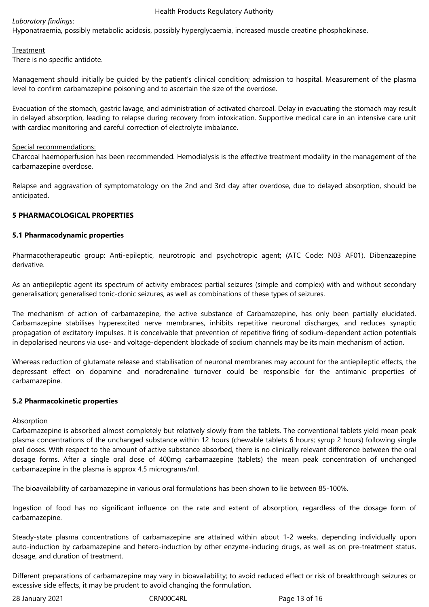## *Laboratory findings*:

Hyponatraemia, possibly metabolic acidosis, possibly hyperglycaemia, increased muscle creatine phosphokinase.

## Treatment

There is no specific antidote.

Management should initially be guided by the patient's clinical condition; admission to hospital. Measurement of the plasma level to confirm carbamazepine poisoning and to ascertain the size of the overdose.

Evacuation of the stomach, gastric lavage, and administration of activated charcoal. Delay in evacuating the stomach may result in delayed absorption, leading to relapse during recovery from intoxication. Supportive medical care in an intensive care unit with cardiac monitoring and careful correction of electrolyte imbalance.

### Special recommendations:

Charcoal haemoperfusion has been recommended. Hemodialysis is the effective treatment modality in the management of the carbamazepine overdose.

Relapse and aggravation of symptomatology on the 2nd and 3rd day after overdose, due to delayed absorption, should be anticipated.

## **5 PHARMACOLOGICAL PROPERTIES**

### **5.1 Pharmacodynamic properties**

Pharmacotherapeutic group: Anti-epileptic, neurotropic and psychotropic agent; (ATC Code: N03 AF01). Dibenzazepine derivative.

As an antiepileptic agent its spectrum of activity embraces: partial seizures (simple and complex) with and without secondary generalisation; generalised tonic-clonic seizures, as well as combinations of these types of seizures.

The mechanism of action of carbamazepine, the active substance of Carbamazepine, has only been partially elucidated. Carbamazepine stabilises hyperexcited nerve membranes, inhibits repetitive neuronal discharges, and reduces synaptic propagation of excitatory impulses. It is conceivable that prevention of repetitive firing of sodium-dependent action potentials in depolarised neurons via use- and voltage-dependent blockade of sodium channels may be its main mechanism of action.

Whereas reduction of glutamate release and stabilisation of neuronal membranes may account for the antiepileptic effects, the depressant effect on dopamine and noradrenaline turnover could be responsible for the antimanic properties of carbamazepine.

### **5.2 Pharmacokinetic properties**

### **Absorption**

Carbamazepine is absorbed almost completely but relatively slowly from the tablets. The conventional tablets yield mean peak plasma concentrations of the unchanged substance within 12 hours (chewable tablets 6 hours; syrup 2 hours) following single oral doses. With respect to the amount of active substance absorbed, there is no clinically relevant difference between the oral dosage forms. After a single oral dose of 400mg carbamazepine (tablets) the mean peak concentration of unchanged carbamazepine in the plasma is approx 4.5 micrograms/ml.

The bioavailability of carbamazepine in various oral formulations has been shown to lie between 85-100%.

Ingestion of food has no significant influence on the rate and extent of absorption, regardless of the dosage form of carbamazepine.

Steady-state plasma concentrations of carbamazepine are attained within about 1-2 weeks, depending individually upon auto-induction by carbamazepine and hetero-induction by other enzyme-inducing drugs, as well as on pre-treatment status, dosage, and duration of treatment.

Different preparations of carbamazepine may vary in bioavailability; to avoid reduced effect or risk of breakthrough seizures or excessive side effects, it may be prudent to avoid changing the formulation.

28 January 2021 CRN00C4RL Page 13 of 16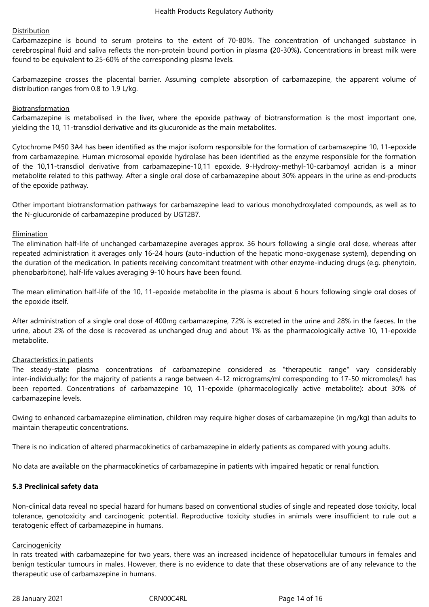### Distribution

Carbamazepine is bound to serum proteins to the extent of 70-80%. The concentration of unchanged substance in cerebrospinal fluid and saliva reflects the non-protein bound portion in plasma **(**20-30%**).** Concentrations in breast milk were found to be equivalent to 25-60% of the corresponding plasma levels.

Carbamazepine crosses the placental barrier. Assuming complete absorption of carbamazepine, the apparent volume of distribution ranges from 0.8 to 1.9 L/kg.

### Biotransformation

Carbamazepine is metabolised in the liver, where the epoxide pathway of biotransformation is the most important one, yielding the 10, 11-transdiol derivative and its glucuronide as the main metabolites.

Cytochrome P450 3A4 has been identified as the major isoform responsible for the formation of carbamazepine 10, 11-epoxide from carbamazepine. Human microsomal epoxide hydrolase has been identified as the enzyme responsible for the formation of the 10,11-transdiol derivative from carbamazepine-10,11 epoxide. 9-Hydroxy-methyl-10-carbamoyl acridan is a minor metabolite related to this pathway. After a single oral dose of carbamazepine about 30% appears in the urine as end-products of the epoxide pathway.

Other important biotransformation pathways for carbamazepine lead to various monohydroxylated compounds, as well as to the N-glucuronide of carbamazepine produced by UGT2B7.

### Elimination

The elimination half-life of unchanged carbamazepine averages approx. 36 hours following a single oral dose, whereas after repeated administration it averages only 16-24 hours **(**auto-induction of the hepatic mono-oxygenase system**)**, depending on the duration of the medication. In patients receiving concomitant treatment with other enzyme-inducing drugs (e.g. phenytoin, phenobarbitone), half-life values averaging 9-10 hours have been found.

The mean elimination half-life of the 10, 11-epoxide metabolite in the plasma is about 6 hours following single oral doses of the epoxide itself.

After administration of a single oral dose of 400mg carbamazepine, 72% is excreted in the urine and 28% in the faeces. In the urine, about 2% of the dose is recovered as unchanged drug and about 1% as the pharmacologically active 10, 11-epoxide metabolite.

### Characteristics in patients

The steady-state plasma concentrations of carbamazepine considered as "therapeutic range" vary considerably inter-individually; for the majority of patients a range between 4-12 micrograms/ml corresponding to 17-50 micromoles/l has been reported. Concentrations of carbamazepine 10, 11-epoxide (pharmacologically active metabolite): about 30% of carbamazepine levels.

Owing to enhanced carbamazepine elimination, children may require higher doses of carbamazepine (in mg/kg) than adults to maintain therapeutic concentrations.

There is no indication of altered pharmacokinetics of carbamazepine in elderly patients as compared with young adults.

No data are available on the pharmacokinetics of carbamazepine in patients with impaired hepatic or renal function.

### **5.3 Preclinical safety data**

Non-clinical data reveal no special hazard for humans based on conventional studies of single and repeated dose toxicity, local tolerance, genotoxicity and carcinogenic potential. Reproductive toxicity studies in animals were insufficient to rule out a teratogenic effect of carbamazepine in humans.

#### **Carcinogenicity**

In rats treated with carbamazepine for two years, there was an increased incidence of hepatocellular tumours in females and benign testicular tumours in males. However, there is no evidence to date that these observations are of any relevance to the therapeutic use of carbamazepine in humans.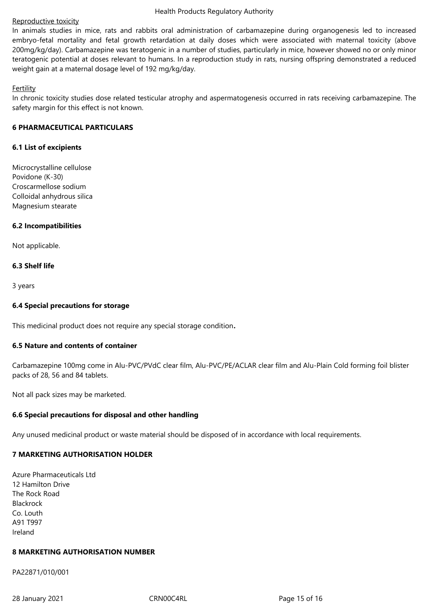### Reproductive toxicity

In animals studies in mice, rats and rabbits oral administration of carbamazepine during organogenesis led to increased embryo-fetal mortality and fetal growth retardation at daily doses which were associated with maternal toxicity (above 200mg/kg/day). Carbamazepine was teratogenic in a number of studies, particularly in mice, however showed no or only minor teratogenic potential at doses relevant to humans. In a reproduction study in rats, nursing offspring demonstrated a reduced weight gain at a maternal dosage level of 192 mg/kg/day.

### **Fertility**

In chronic toxicity studies dose related testicular atrophy and aspermatogenesis occurred in rats receiving carbamazepine. The safety margin for this effect is not known.

### **6 PHARMACEUTICAL PARTICULARS**

### **6.1 List of excipients**

Microcrystalline cellulose Povidone (K-30) Croscarmellose sodium Colloidal anhydrous silica Magnesium stearate

### **6.2 Incompatibilities**

Not applicable.

### **6.3 Shelf life**

3 years

### **6.4 Special precautions for storage**

This medicinal product does not require any special storage condition**.**

### **6.5 Nature and contents of container**

Carbamazepine 100mg come in Alu-PVC/PVdC clear film, Alu-PVC/PE/ACLAR clear film and Alu-Plain Cold forming foil blister packs of 28, 56 and 84 tablets.

Not all pack sizes may be marketed.

### **6.6 Special precautions for disposal and other handling**

Any unused medicinal product or waste material should be disposed of in accordance with local requirements.

## **7 MARKETING AUTHORISATION HOLDER**

Azure Pharmaceuticals Ltd 12 Hamilton Drive The Rock Road Blackrock Co. Louth A91 T997 Ireland

### **8 MARKETING AUTHORISATION NUMBER**

PA22871/010/001

28 January 2021 CRN00C4RL Page 15 of 16